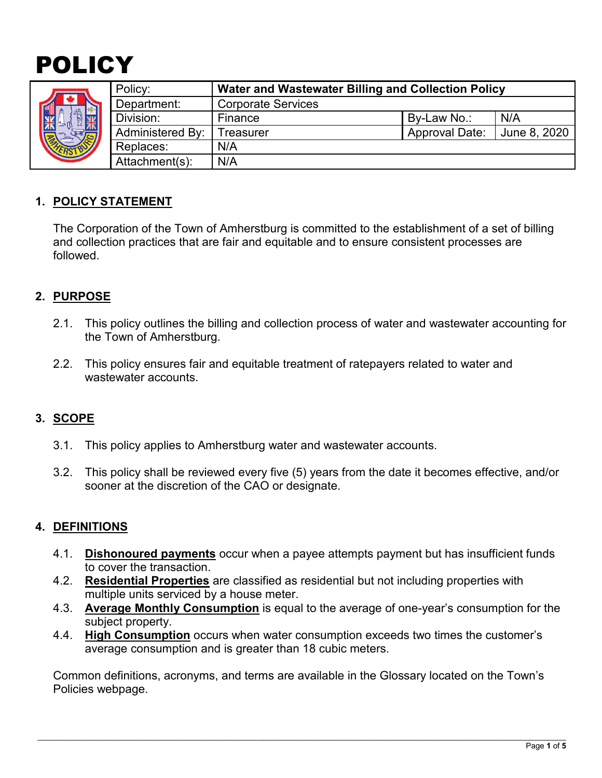# POLICY

|  | Policy:                 | Water and Wastewater Billing and Collection Policy |                       |              |
|--|-------------------------|----------------------------------------------------|-----------------------|--------------|
|  | Department:             | <b>Corporate Services</b>                          |                       |              |
|  | Division:               | Finance                                            | By-Law No.:           | N/A          |
|  | <b>Administered By:</b> | reasurer                                           | <b>Approval Date:</b> | June 8, 2020 |
|  | Replaces:               | N/A                                                |                       |              |
|  | Attachment(s):          | N/A                                                |                       |              |

# **1. POLICY STATEMENT**

The Corporation of the Town of Amherstburg is committed to the establishment of a set of billing and collection practices that are fair and equitable and to ensure consistent processes are followed.

## **2. PURPOSE**

- 2.1. This policy outlines the billing and collection process of water and wastewater accounting for the Town of Amherstburg.
- 2.2. This policy ensures fair and equitable treatment of ratepayers related to water and wastewater accounts.

# **3. SCOPE**

- 3.1. This policy applies to Amherstburg water and wastewater accounts.
- 3.2. This policy shall be reviewed every five (5) years from the date it becomes effective, and/or sooner at the discretion of the CAO or designate.

## **4. DEFINITIONS**

- 4.1. **Dishonoured payments** occur when a payee attempts payment but has insufficient funds to cover the transaction.
- 4.2. **Residential Properties** are classified as residential but not including properties with multiple units serviced by a house meter.
- 4.3. **Average Monthly Consumption** is equal to the average of one-year's consumption for the subject property.
- 4.4. **High Consumption** occurs when water consumption exceeds two times the customer's average consumption and is greater than 18 cubic meters.

Common definitions, acronyms, and terms are available in the Glossary located on the Town's Policies webpage.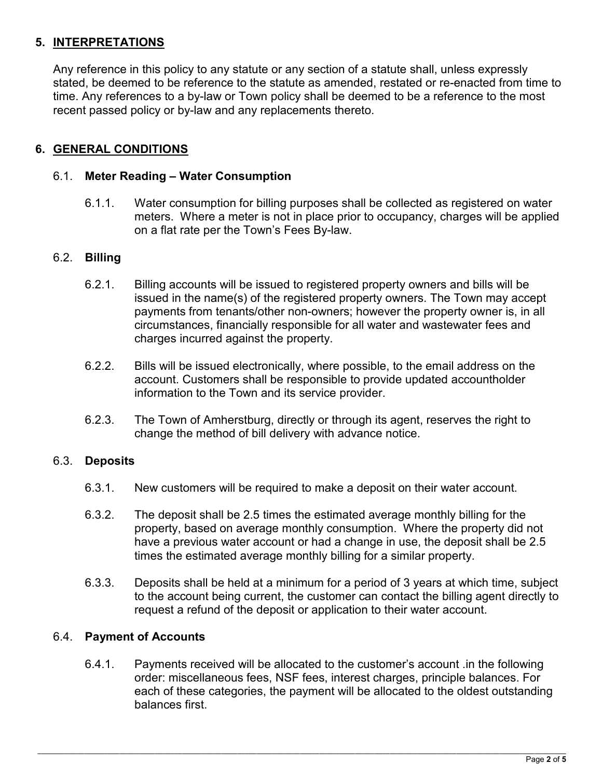# **5. INTERPRETATIONS**

Any reference in this policy to any statute or any section of a statute shall, unless expressly stated, be deemed to be reference to the statute as amended, restated or re-enacted from time to time. Any references to a by-law or Town policy shall be deemed to be a reference to the most recent passed policy or by-law and any replacements thereto.

## **6. GENERAL CONDITIONS**

#### 6.1. **Meter Reading – Water Consumption**

6.1.1. Water consumption for billing purposes shall be collected as registered on water meters. Where a meter is not in place prior to occupancy, charges will be applied on a flat rate per the Town's Fees By-law.

#### 6.2. **Billing**

- 6.2.1. Billing accounts will be issued to registered property owners and bills will be issued in the name(s) of the registered property owners. The Town may accept payments from tenants/other non-owners; however the property owner is, in all circumstances, financially responsible for all water and wastewater fees and charges incurred against the property.
- 6.2.2. Bills will be issued electronically, where possible, to the email address on the account. Customers shall be responsible to provide updated accountholder information to the Town and its service provider.
- 6.2.3. The Town of Amherstburg, directly or through its agent, reserves the right to change the method of bill delivery with advance notice.

#### 6.3. **Deposits**

- 6.3.1. New customers will be required to make a deposit on their water account.
- 6.3.2. The deposit shall be 2.5 times the estimated average monthly billing for the property, based on average monthly consumption. Where the property did not have a previous water account or had a change in use, the deposit shall be 2.5 times the estimated average monthly billing for a similar property.
- 6.3.3. Deposits shall be held at a minimum for a period of 3 years at which time, subject to the account being current, the customer can contact the billing agent directly to request a refund of the deposit or application to their water account.

#### 6.4. **Payment of Accounts**

6.4.1. Payments received will be allocated to the customer's account .in the following order: miscellaneous fees, NSF fees, interest charges, principle balances. For each of these categories, the payment will be allocated to the oldest outstanding balances first.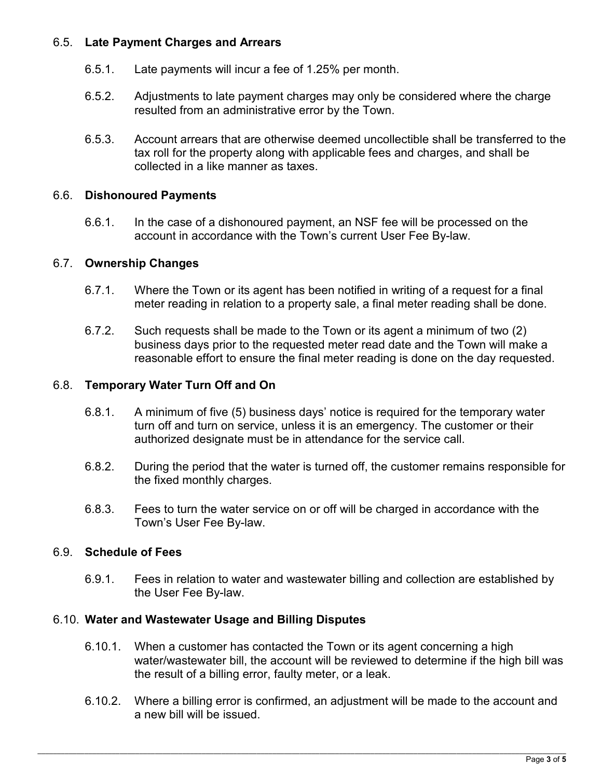## 6.5. **Late Payment Charges and Arrears**

- 6.5.1. Late payments will incur a fee of 1.25% per month.
- 6.5.2. Adjustments to late payment charges may only be considered where the charge resulted from an administrative error by the Town.
- 6.5.3. Account arrears that are otherwise deemed uncollectible shall be transferred to the tax roll for the property along with applicable fees and charges, and shall be collected in a like manner as taxes.

### 6.6. **Dishonoured Payments**

6.6.1. In the case of a dishonoured payment, an NSF fee will be processed on the account in accordance with the Town's current User Fee By-law.

## 6.7. **Ownership Changes**

- 6.7.1. Where the Town or its agent has been notified in writing of a request for a final meter reading in relation to a property sale, a final meter reading shall be done.
- 6.7.2. Such requests shall be made to the Town or its agent a minimum of two (2) business days prior to the requested meter read date and the Town will make a reasonable effort to ensure the final meter reading is done on the day requested.

## 6.8. **Temporary Water Turn Off and On**

- 6.8.1. A minimum of five (5) business days' notice is required for the temporary water turn off and turn on service, unless it is an emergency. The customer or their authorized designate must be in attendance for the service call.
- 6.8.2. During the period that the water is turned off, the customer remains responsible for the fixed monthly charges.
- 6.8.3. Fees to turn the water service on or off will be charged in accordance with the Town's User Fee By-law.

#### 6.9. **Schedule of Fees**

6.9.1. Fees in relation to water and wastewater billing and collection are established by the User Fee By-law.

### 6.10. **Water and Wastewater Usage and Billing Disputes**

- 6.10.1. When a customer has contacted the Town or its agent concerning a high water/wastewater bill, the account will be reviewed to determine if the high bill was the result of a billing error, faulty meter, or a leak.
- 6.10.2. Where a billing error is confirmed, an adjustment will be made to the account and a new bill will be issued.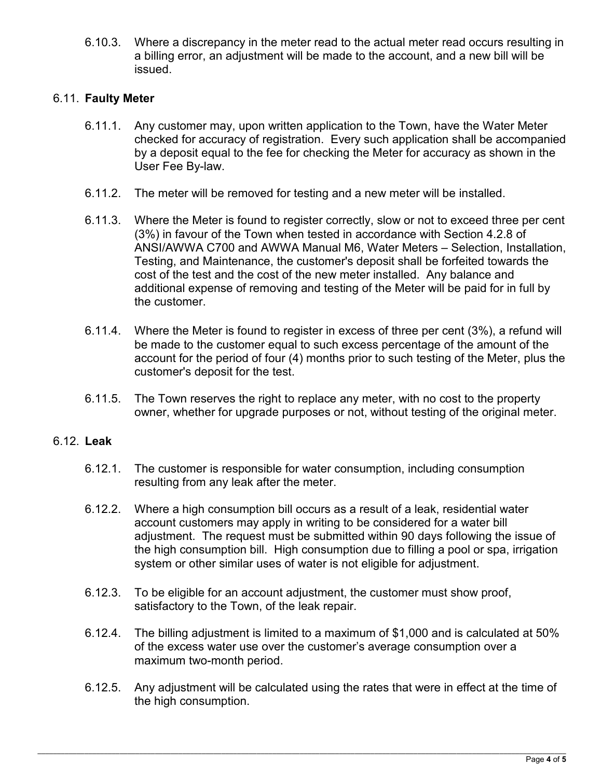6.10.3. Where a discrepancy in the meter read to the actual meter read occurs resulting in a billing error, an adjustment will be made to the account, and a new bill will be issued.

#### 6.11. **Faulty Meter**

- 6.11.1. Any customer may, upon written application to the Town, have the Water Meter checked for accuracy of registration. Every such application shall be accompanied by a deposit equal to the fee for checking the Meter for accuracy as shown in the User Fee By-law.
- 6.11.2. The meter will be removed for testing and a new meter will be installed.
- 6.11.3. Where the Meter is found to register correctly, slow or not to exceed three per cent (3%) in favour of the Town when tested in accordance with Section 4.2.8 of ANSI/AWWA C700 and AWWA Manual M6, Water Meters – Selection, Installation, Testing, and Maintenance, the customer's deposit shall be forfeited towards the cost of the test and the cost of the new meter installed. Any balance and additional expense of removing and testing of the Meter will be paid for in full by the customer.
- 6.11.4. Where the Meter is found to register in excess of three per cent (3%), a refund will be made to the customer equal to such excess percentage of the amount of the account for the period of four (4) months prior to such testing of the Meter, plus the customer's deposit for the test.
- 6.11.5. The Town reserves the right to replace any meter, with no cost to the property owner, whether for upgrade purposes or not, without testing of the original meter.

#### 6.12. **Leak**

- 6.12.1. The customer is responsible for water consumption, including consumption resulting from any leak after the meter.
- 6.12.2. Where a high consumption bill occurs as a result of a leak, residential water account customers may apply in writing to be considered for a water bill adjustment. The request must be submitted within 90 days following the issue of the high consumption bill. High consumption due to filling a pool or spa, irrigation system or other similar uses of water is not eligible for adjustment.
- 6.12.3. To be eligible for an account adjustment, the customer must show proof, satisfactory to the Town, of the leak repair.
- 6.12.4. The billing adjustment is limited to a maximum of \$1,000 and is calculated at 50% of the excess water use over the customer's average consumption over a maximum two-month period.
- 6.12.5. Any adjustment will be calculated using the rates that were in effect at the time of the high consumption.